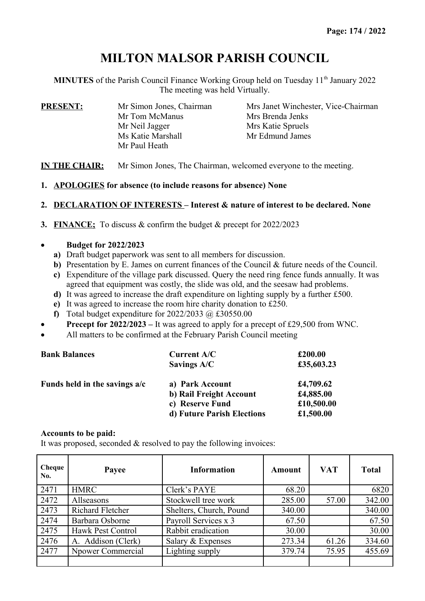# **MILTON MALSOR PARISH COUNCIL**

**MINUTES** of the Parish Council Finance Working Group held on Tuesday 11<sup>th</sup> January 2022 The meeting was held Virtually.

| <b>PRESENT:</b> | Mr Simon Jones, Chairman           | Mrs Janet Winchester, Vice-Chairman |  |  |
|-----------------|------------------------------------|-------------------------------------|--|--|
|                 | Mr Tom McManus                     | Mrs Brenda Jenks                    |  |  |
|                 | Mr Neil Jagger                     | Mrs Katie Spruels                   |  |  |
|                 | Ms Katie Marshall<br>Mr Paul Heath | Mr Edmund James                     |  |  |

**IN THE CHAIR:** Mr Simon Jones, The Chairman, welcomed everyone to the meeting.

**1. APOLOGIES for absence (to include reasons for absence) None**

## **2. DECLARATION OF INTERESTS – Interest & nature of interest to be declared. None**

**3. FINANCE;** To discuss & confirm the budget & precept for 2022/2023

## **Budget for 2022/2023**

- **a)** Draft budget paperwork was sent to all members for discussion.
- **b)** Presentation by E. James on current finances of the Council & future needs of the Council.
- **c)** Expenditure of the village park discussed. Query the need ring fence funds annually. It was agreed that equipment was costly, the slide was old, and the seesaw had problems.
- **d)** It was agreed to increase the draft expenditure on lighting supply by a further £500.
- **e)** It was agreed to increase the room hire charity donation to £250.
- **f)** Total budget expenditure for  $2022/2033$  @ £30550.00
- **Precept for 2022/2023** It was agreed to apply for a precept of £29,500 from WNC.
- All matters to be confirmed at the February Parish Council meeting

| <b>Bank Balances</b>          | Current A/C                | £200.00    |
|-------------------------------|----------------------------|------------|
|                               | Savings A/C                | £35,603.23 |
| Funds held in the savings a/c | a) Park Account            | £4,709.62  |
|                               | b) Rail Freight Account    | £4,885.00  |
|                               | c) Reserve Fund            | £10,500.00 |
|                               | d) Future Parish Elections | £1,500.00  |

#### **Accounts to be paid:**

It was proposed, seconded & resolved to pay the following invoices:

| Cheque<br>No. | Payee                   | <b>Information</b>      | Amount | <b>VAT</b> | <b>Total</b> |
|---------------|-------------------------|-------------------------|--------|------------|--------------|
| 2471          | <b>HMRC</b>             | Clerk's PAYE            | 68.20  |            | 6820         |
| 2472          | Allseasons              | Stockwell tree work     | 285.00 | 57.00      | 342.00       |
| 2473          | <b>Richard Fletcher</b> | Shelters, Church, Pound | 340.00 |            | 340.00       |
| 2474          | Barbara Osborne         | Payroll Services x 3    | 67.50  |            | 67.50        |
| 2475          | Hawk Pest Control       | Rabbit eradication      | 30.00  |            | 30.00        |
| 2476          | A. Addison (Clerk)      | Salary & Expenses       | 273.34 | 61.26      | 334.60       |
| 2477          | Npower Commercial       | Lighting supply         | 379.74 | 75.95      | 455.69       |
|               |                         |                         |        |            |              |